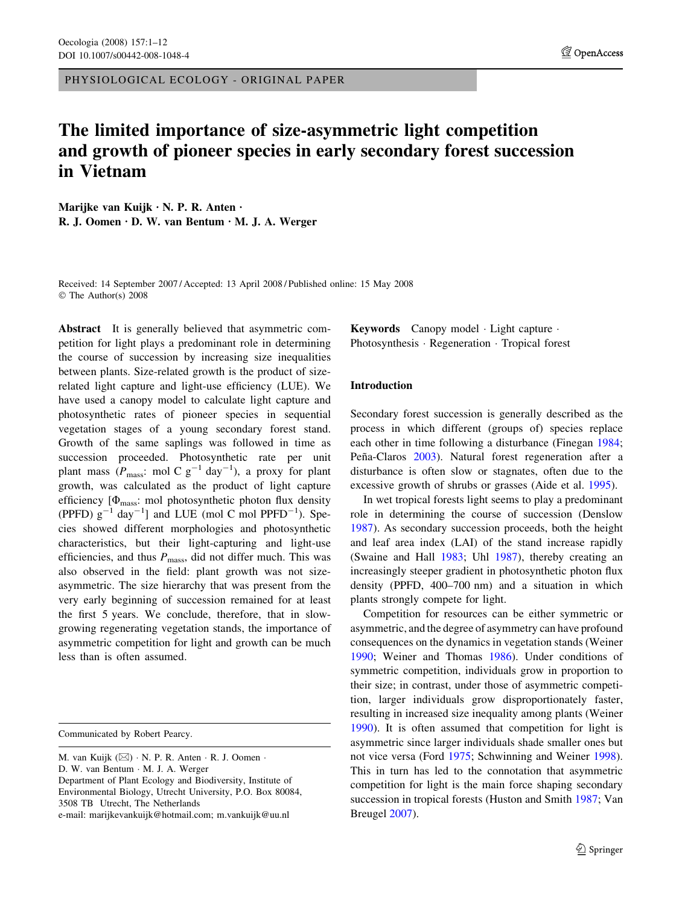PHYSIOLOGICAL ECOLOGY - ORIGINAL PAPER

# The limited importance of size-asymmetric light competition and growth of pioneer species in early secondary forest succession in Vietnam

Marijke van Kuijk  $\cdot$  N. P. R. Anten  $\cdot$ R. J. Oomen  $\cdot$  D. W. van Bentum  $\cdot$  M. J. A. Werger

Received: 14 September 2007 / Accepted: 13 April 2008 / Published online: 15 May 2008 The Author(s) 2008

Abstract It is generally believed that asymmetric competition for light plays a predominant role in determining the course of succession by increasing size inequalities between plants. Size-related growth is the product of sizerelated light capture and light-use efficiency (LUE). We have used a canopy model to calculate light capture and photosynthetic rates of pioneer species in sequential vegetation stages of a young secondary forest stand. Growth of the same saplings was followed in time as succession proceeded. Photosynthetic rate per unit plant mass ( $P_{\text{mass}}$ : mol C  $g^{-1}$  day<sup>-1</sup>), a proxy for plant growth, was calculated as the product of light capture efficiency  $[\Phi_{\text{mass}}: \text{mol}$  photosynthetic photon flux density (PPFD)  $g^{-1}$  day<sup>-1</sup>] and LUE (mol C mol PPFD<sup>-1</sup>). Species showed different morphologies and photosynthetic characteristics, but their light-capturing and light-use efficiencies, and thus  $P_{\text{mass}}$ , did not differ much. This was also observed in the field: plant growth was not sizeasymmetric. The size hierarchy that was present from the very early beginning of succession remained for at least the first 5 years. We conclude, therefore, that in slowgrowing regenerating vegetation stands, the importance of asymmetric competition for light and growth can be much less than is often assumed.

e-mail: marijkevankuijk@hotmail.com; m.vankuijk@uu.nl

Keywords Canopy model · Light capture · Photosynthesis · Regeneration · Tropical forest

## Introduction

Secondary forest succession is generally described as the process in which different (groups of) species replace each other in time following a disturbance (Finegan [1984](#page-10-0); Peña-Claros [2003](#page-10-0)). Natural forest regeneration after a disturbance is often slow or stagnates, often due to the excessive growth of shrubs or grasses (Aide et al. [1995\)](#page-10-0).

In wet tropical forests light seems to play a predominant role in determining the course of succession (Denslow [1987](#page-10-0)). As secondary succession proceeds, both the height and leaf area index (LAI) of the stand increase rapidly (Swaine and Hall [1983;](#page-11-0) Uhl [1987](#page-11-0)), thereby creating an increasingly steeper gradient in photosynthetic photon flux density (PPFD, 400–700 nm) and a situation in which plants strongly compete for light.

Competition for resources can be either symmetric or asymmetric, and the degree of asymmetry can have profound consequences on the dynamics in vegetation stands (Weiner [1990](#page-11-0); Weiner and Thomas [1986](#page-11-0)). Under conditions of symmetric competition, individuals grow in proportion to their size; in contrast, under those of asymmetric competition, larger individuals grow disproportionately faster, resulting in increased size inequality among plants (Weiner [1990](#page-11-0)). It is often assumed that competition for light is asymmetric since larger individuals shade smaller ones but not vice versa (Ford [1975](#page-10-0); Schwinning and Weiner [1998](#page-10-0)). This in turn has led to the connotation that asymmetric competition for light is the main force shaping secondary succession in tropical forests (Huston and Smith [1987](#page-10-0); Van Breugel [2007](#page-11-0)).

Communicated by Robert Pearcy.

M. van Kuijk  $(\boxtimes) \cdot N$ . P. R. Anten  $\cdot$  R. J. Oomen  $\cdot$ D. W. van Bentum · M. J. A. Werger Department of Plant Ecology and Biodiversity, Institute of Environmental Biology, Utrecht University, P.O. Box 80084, 3508 TB Utrecht, The Netherlands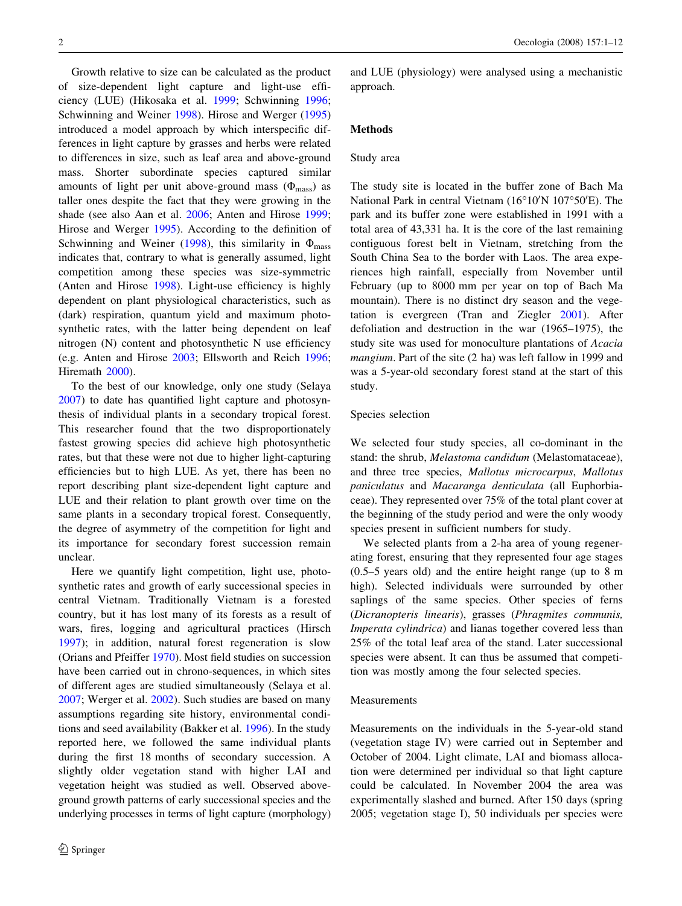Growth relative to size can be calculated as the product of size-dependent light capture and light-use efficiency (LUE) (Hikosaka et al. [1999](#page-10-0); Schwinning [1996](#page-10-0); Schwinning and Weiner [1998\)](#page-10-0). Hirose and Werger ([1995\)](#page-10-0) introduced a model approach by which interspecific differences in light capture by grasses and herbs were related to differences in size, such as leaf area and above-ground mass. Shorter subordinate species captured similar amounts of light per unit above-ground mass  $(\Phi_{\text{mass}})$  as taller ones despite the fact that they were growing in the shade (see also Aan et al. [2006;](#page-10-0) Anten and Hirose [1999](#page-10-0); Hirose and Werger [1995](#page-10-0)). According to the definition of Schwinning and Weiner ([1998\)](#page-10-0), this similarity in  $\Phi_{\text{mass}}$ indicates that, contrary to what is generally assumed, light competition among these species was size-symmetric (Anten and Hirose [1998](#page-10-0)). Light-use efficiency is highly dependent on plant physiological characteristics, such as (dark) respiration, quantum yield and maximum photosynthetic rates, with the latter being dependent on leaf nitrogen (N) content and photosynthetic N use efficiency (e.g. Anten and Hirose [2003;](#page-10-0) Ellsworth and Reich [1996](#page-10-0); Hiremath [2000\)](#page-10-0).

To the best of our knowledge, only one study (Selaya [2007\)](#page-10-0) to date has quantified light capture and photosynthesis of individual plants in a secondary tropical forest. This researcher found that the two disproportionately fastest growing species did achieve high photosynthetic rates, but that these were not due to higher light-capturing efficiencies but to high LUE. As yet, there has been no report describing plant size-dependent light capture and LUE and their relation to plant growth over time on the same plants in a secondary tropical forest. Consequently, the degree of asymmetry of the competition for light and its importance for secondary forest succession remain unclear.

Here we quantify light competition, light use, photosynthetic rates and growth of early successional species in central Vietnam. Traditionally Vietnam is a forested country, but it has lost many of its forests as a result of wars, fires, logging and agricultural practices (Hirsch [1997\)](#page-10-0); in addition, natural forest regeneration is slow (Orians and Pfeiffer [1970\)](#page-10-0). Most field studies on succession have been carried out in chrono-sequences, in which sites of different ages are studied simultaneously (Selaya et al. [2007;](#page-10-0) Werger et al. [2002\)](#page-11-0). Such studies are based on many assumptions regarding site history, environmental conditions and seed availability (Bakker et al. [1996\)](#page-10-0). In the study reported here, we followed the same individual plants during the first 18 months of secondary succession. A slightly older vegetation stand with higher LAI and vegetation height was studied as well. Observed aboveground growth patterns of early successional species and the underlying processes in terms of light capture (morphology) and LUE (physiology) were analysed using a mechanistic approach.

## Methods

### Study area

The study site is located in the buffer zone of Bach Ma National Park in central Vietnam (16°10'N 107°50'E). The park and its buffer zone were established in 1991 with a total area of 43,331 ha. It is the core of the last remaining contiguous forest belt in Vietnam, stretching from the South China Sea to the border with Laos. The area experiences high rainfall, especially from November until February (up to 8000 mm per year on top of Bach Ma mountain). There is no distinct dry season and the vegetation is evergreen (Tran and Ziegler [2001](#page-11-0)). After defoliation and destruction in the war (1965–1975), the study site was used for monoculture plantations of Acacia mangium. Part of the site (2 ha) was left fallow in 1999 and was a 5-year-old secondary forest stand at the start of this study.

#### Species selection

We selected four study species, all co-dominant in the stand: the shrub, Melastoma candidum (Melastomataceae), and three tree species, Mallotus microcarpus, Mallotus paniculatus and Macaranga denticulata (all Euphorbiaceae). They represented over 75% of the total plant cover at the beginning of the study period and were the only woody species present in sufficient numbers for study.

We selected plants from a 2-ha area of young regenerating forest, ensuring that they represented four age stages (0.5–5 years old) and the entire height range (up to 8 m high). Selected individuals were surrounded by other saplings of the same species. Other species of ferns (Dicranopteris linearis), grasses (Phragmites communis, Imperata cylindrica) and lianas together covered less than 25% of the total leaf area of the stand. Later successional species were absent. It can thus be assumed that competition was mostly among the four selected species.

#### Measurements

Measurements on the individuals in the 5-year-old stand (vegetation stage IV) were carried out in September and October of 2004. Light climate, LAI and biomass allocation were determined per individual so that light capture could be calculated. In November 2004 the area was experimentally slashed and burned. After 150 days (spring 2005; vegetation stage I), 50 individuals per species were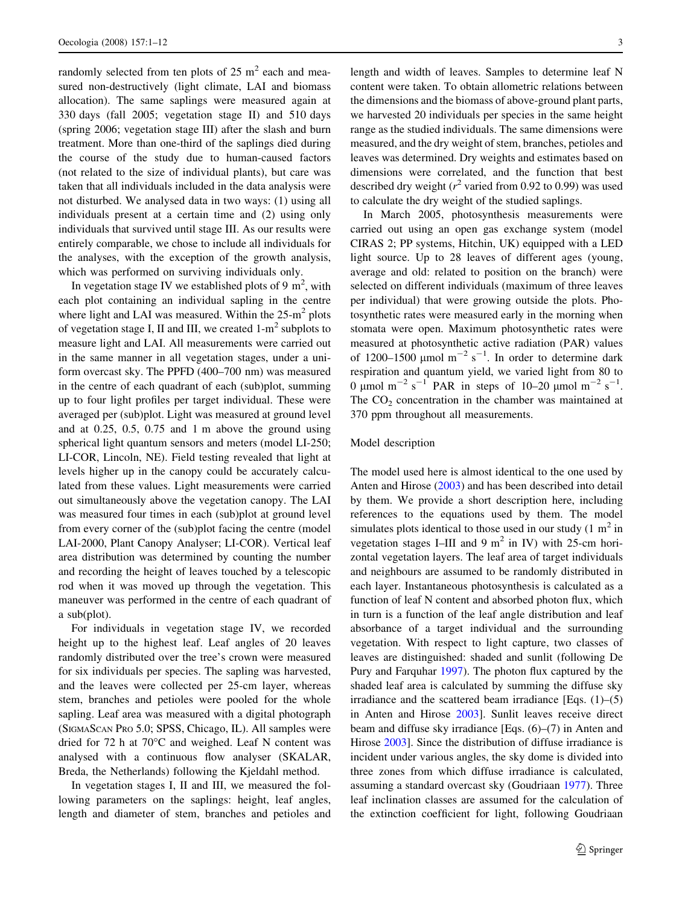randomly selected from ten plots of  $25 \text{ m}^2$  each and measured non-destructively (light climate, LAI and biomass allocation). The same saplings were measured again at 330 days (fall 2005; vegetation stage II) and 510 days (spring 2006; vegetation stage III) after the slash and burn treatment. More than one-third of the saplings died during the course of the study due to human-caused factors (not related to the size of individual plants), but care was taken that all individuals included in the data analysis were not disturbed. We analysed data in two ways: (1) using all individuals present at a certain time and (2) using only individuals that survived until stage III. As our results were entirely comparable, we chose to include all individuals for the analyses, with the exception of the growth analysis, which was performed on surviving individuals only.

In vegetation stage IV we established plots of 9  $m^2$ , with each plot containing an individual sapling in the centre where light and LAI was measured. Within the  $25-m^2$  plots of vegetation stage I, II and III, we created  $1-m^2$  subplots to measure light and LAI. All measurements were carried out in the same manner in all vegetation stages, under a uniform overcast sky. The PPFD (400–700 nm) was measured in the centre of each quadrant of each (sub)plot, summing up to four light profiles per target individual. These were averaged per (sub)plot. Light was measured at ground level and at 0.25, 0.5, 0.75 and 1 m above the ground using spherical light quantum sensors and meters (model LI-250; LI-COR, Lincoln, NE). Field testing revealed that light at levels higher up in the canopy could be accurately calculated from these values. Light measurements were carried out simultaneously above the vegetation canopy. The LAI was measured four times in each (sub)plot at ground level from every corner of the (sub)plot facing the centre (model LAI-2000, Plant Canopy Analyser; LI-COR). Vertical leaf area distribution was determined by counting the number and recording the height of leaves touched by a telescopic rod when it was moved up through the vegetation. This maneuver was performed in the centre of each quadrant of a sub(plot).

For individuals in vegetation stage IV, we recorded height up to the highest leaf. Leaf angles of 20 leaves randomly distributed over the tree's crown were measured for six individuals per species. The sapling was harvested, and the leaves were collected per 25-cm layer, whereas stem, branches and petioles were pooled for the whole sapling. Leaf area was measured with a digital photograph (SIGMASCAN PRO 5.0; SPSS, Chicago, IL). All samples were dried for  $72$  h at  $70^{\circ}$ C and weighed. Leaf N content was analysed with a continuous flow analyser (SKALAR, Breda, the Netherlands) following the Kjeldahl method.

In vegetation stages I, II and III, we measured the following parameters on the saplings: height, leaf angles, length and diameter of stem, branches and petioles and length and width of leaves. Samples to determine leaf N content were taken. To obtain allometric relations between the dimensions and the biomass of above-ground plant parts, we harvested 20 individuals per species in the same height range as the studied individuals. The same dimensions were measured, and the dry weight of stem, branches, petioles and leaves was determined. Dry weights and estimates based on dimensions were correlated, and the function that best described dry weight ( $r^2$  varied from 0.92 to 0.99) was used to calculate the dry weight of the studied saplings.

In March 2005, photosynthesis measurements were carried out using an open gas exchange system (model CIRAS 2; PP systems, Hitchin, UK) equipped with a LED light source. Up to 28 leaves of different ages (young, average and old: related to position on the branch) were selected on different individuals (maximum of three leaves per individual) that were growing outside the plots. Photosynthetic rates were measured early in the morning when stomata were open. Maximum photosynthetic rates were measured at photosynthetic active radiation (PAR) values of 1200–1500  $\mu$ mol m<sup>-2</sup> s<sup>-1</sup>. In order to determine dark respiration and quantum yield, we varied light from 80 to 0  $\mu$ mol m<sup>-2</sup> s<sup>-1</sup> PAR in steps of 10-20  $\mu$ mol m<sup>-2</sup> s<sup>-1</sup>. The  $CO<sub>2</sub>$  concentration in the chamber was maintained at 370 ppm throughout all measurements.

#### Model description

The model used here is almost identical to the one used by Anten and Hirose ([2003\)](#page-10-0) and has been described into detail by them. We provide a short description here, including references to the equations used by them. The model simulates plots identical to those used in our study  $(1 \text{ m}^2 \text{ in}$ vegetation stages I–III and 9  $m^2$  in IV) with 25-cm horizontal vegetation layers. The leaf area of target individuals and neighbours are assumed to be randomly distributed in each layer. Instantaneous photosynthesis is calculated as a function of leaf N content and absorbed photon flux, which in turn is a function of the leaf angle distribution and leaf absorbance of a target individual and the surrounding vegetation. With respect to light capture, two classes of leaves are distinguished: shaded and sunlit (following De Pury and Farquhar [1997\)](#page-10-0). The photon flux captured by the shaded leaf area is calculated by summing the diffuse sky irradiance and the scattered beam irradiance [Eqs.  $(1)$ – $(5)$ ] in Anten and Hirose [2003\]](#page-10-0). Sunlit leaves receive direct beam and diffuse sky irradiance [Eqs. (6)–(7) in Anten and Hirose [2003](#page-10-0)]. Since the distribution of diffuse irradiance is incident under various angles, the sky dome is divided into three zones from which diffuse irradiance is calculated, assuming a standard overcast sky (Goudriaan [1977](#page-10-0)). Three leaf inclination classes are assumed for the calculation of the extinction coefficient for light, following Goudriaan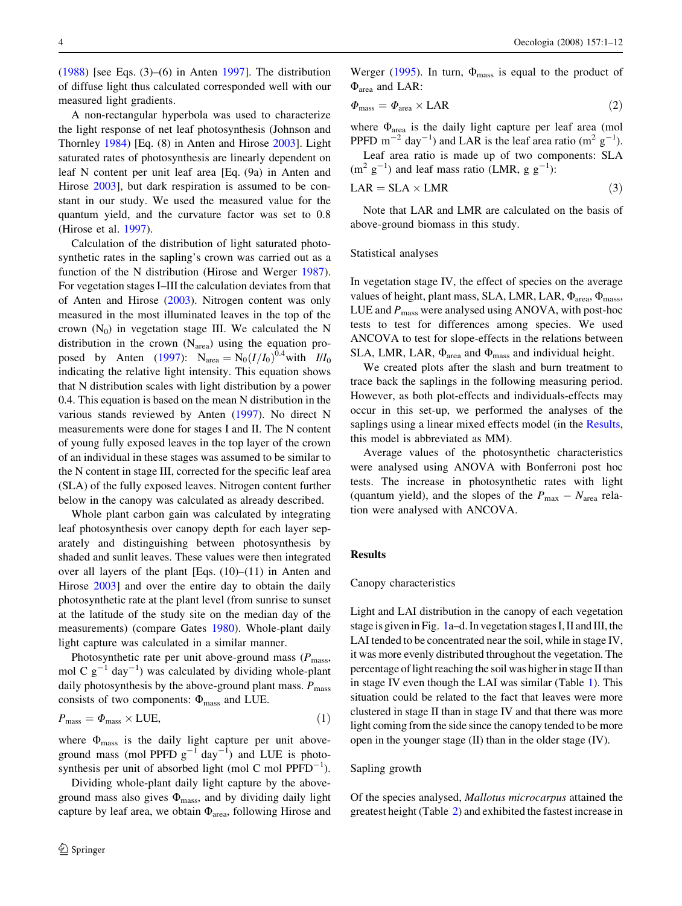<span id="page-3-0"></span> $(1988)$  $(1988)$  [see Eqs.  $(3)$ – $(6)$  in Anten [1997\]](#page-10-0). The distribution of diffuse light thus calculated corresponded well with our measured light gradients.

A non-rectangular hyperbola was used to characterize the light response of net leaf photosynthesis (Johnson and Thornley [1984\)](#page-10-0) [Eq. (8) in Anten and Hirose [2003](#page-10-0)]. Light saturated rates of photosynthesis are linearly dependent on leaf N content per unit leaf area [Eq. (9a) in Anten and Hirose [2003\]](#page-10-0), but dark respiration is assumed to be constant in our study. We used the measured value for the quantum yield, and the curvature factor was set to 0.8 (Hirose et al. [1997\)](#page-10-0).

Calculation of the distribution of light saturated photosynthetic rates in the sapling's crown was carried out as a function of the N distribution (Hirose and Werger [1987](#page-10-0)). For vegetation stages I–III the calculation deviates from that of Anten and Hirose ([2003\)](#page-10-0). Nitrogen content was only measured in the most illuminated leaves in the top of the crown  $(N_0)$  in vegetation stage III. We calculated the N distribution in the crown (Narea) using the equation pro-posed by Anten ([1997\)](#page-10-0):  $N_{area} = N_0 (I/I_0)^{0.4}$  with  $II/I_0$ indicating the relative light intensity. This equation shows that N distribution scales with light distribution by a power 0.4. This equation is based on the mean N distribution in the various stands reviewed by Anten ([1997\)](#page-10-0). No direct N measurements were done for stages I and II. The N content of young fully exposed leaves in the top layer of the crown of an individual in these stages was assumed to be similar to the N content in stage III, corrected for the specific leaf area (SLA) of the fully exposed leaves. Nitrogen content further below in the canopy was calculated as already described.

Whole plant carbon gain was calculated by integrating leaf photosynthesis over canopy depth for each layer separately and distinguishing between photosynthesis by shaded and sunlit leaves. These values were then integrated over all layers of the plant [Eqs. (10)–(11) in Anten and Hirose [2003\]](#page-10-0) and over the entire day to obtain the daily photosynthetic rate at the plant level (from sunrise to sunset at the latitude of the study site on the median day of the measurements) (compare Gates [1980\)](#page-10-0). Whole-plant daily light capture was calculated in a similar manner.

Photosynthetic rate per unit above-ground mass  $(P_{\text{mass}},$ mol C  $g^{-1}$  day<sup>-1</sup>) was calculated by dividing whole-plant daily photosynthesis by the above-ground plant mass.  $P_{\text{mass}}$ consists of two components:  $\Phi_{\text{mass}}$  and LUE.

$$
P_{\text{mass}} = \Phi_{\text{mass}} \times \text{LUE},\tag{1}
$$

where  $\Phi_{\text{mass}}$  is the daily light capture per unit aboveground mass (mol PPFD  $g^{-1}$  day<sup>-1</sup>) and LUE is photosynthesis per unit of absorbed light (mol C mol  $\text{PPFD}^{-1}$ ).

Dividing whole-plant daily light capture by the aboveground mass also gives  $\Phi_{\text{mass}}$ , and by dividing daily light capture by leaf area, we obtain  $\Phi_{\text{area}}$ , following Hirose and Werger ([1995\)](#page-10-0). In turn,  $\Phi_{\text{mass}}$  is equal to the product of  $\Phi$ <sub>area</sub> and LAR:

$$
\Phi_{\text{mass}} = \Phi_{\text{area}} \times \text{LAR} \tag{2}
$$

where  $\Phi_{\text{area}}$  is the daily light capture per leaf area (mol PPFD  $m^{-2}$  day<sup>-1</sup>) and LAR is the leaf area ratio ( $m^2$  g<sup>-1</sup>).

Leaf area ratio is made up of two components: SLA  $(m<sup>2</sup> g<sup>-1</sup>)$  and leaf mass ratio (LMR, g g<sup>-1</sup>):

$$
LAR = SLA \times LMR \tag{3}
$$

Note that LAR and LMR are calculated on the basis of above-ground biomass in this study.

#### Statistical analyses

In vegetation stage IV, the effect of species on the average values of height, plant mass, SLA, LMR, LAR,  $\Phi_{\text{area}}$ ,  $\Phi_{\text{mass}}$ , LUE and  $P_{\text{mass}}$  were analysed using ANOVA, with post-hoc tests to test for differences among species. We used ANCOVA to test for slope-effects in the relations between SLA, LMR, LAR,  $\Phi_{\text{area}}$  and  $\Phi_{\text{mass}}$  and individual height.

We created plots after the slash and burn treatment to trace back the saplings in the following measuring period. However, as both plot-effects and individuals-effects may occur in this set-up, we performed the analyses of the saplings using a linear mixed effects model (in the Results, this model is abbreviated as MM).

Average values of the photosynthetic characteristics were analysed using ANOVA with Bonferroni post hoc tests. The increase in photosynthetic rates with light (quantum yield), and the slopes of the  $P_{\text{max}} - N_{\text{area}}$  relation were analysed with ANCOVA.

#### Results

#### Canopy characteristics

Light and LAI distribution in the canopy of each vegetation stage is given in Fig. [1a](#page-4-0)–d. In vegetation stages I, II and III, the LAI tended to be concentrated near the soil, while in stage IV, it was more evenly distributed throughout the vegetation. The percentage of light reaching the soil was higher in stage II than in stage IV even though the LAI was similar (Table [1](#page-5-0)). This situation could be related to the fact that leaves were more clustered in stage II than in stage IV and that there was more light coming from the side since the canopy tended to be more open in the younger stage (II) than in the older stage (IV).

#### Sapling growth

Of the species analysed, Mallotus microcarpus attained the greatest height (Table [2](#page-6-0)) and exhibited the fastest increase in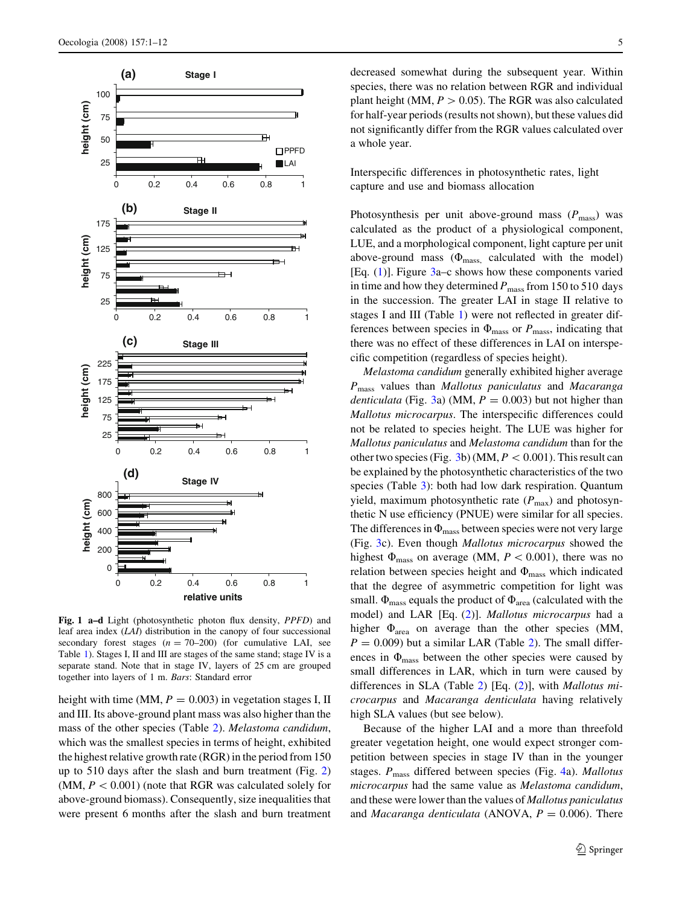<span id="page-4-0"></span>

Fig. 1 a–d Light (photosynthetic photon flux density, PPFD) and leaf area index (LAI) distribution in the canopy of four successional secondary forest stages  $(n = 70-200)$  (for cumulative LAI, see Table [1](#page-5-0)). Stages I, II and III are stages of the same stand; stage IV is a separate stand. Note that in stage IV, layers of 25 cm are grouped together into layers of 1 m. Bars: Standard error

height with time (MM,  $P = 0.003$ ) in vegetation stages I, II and III. Its above-ground plant mass was also higher than the mass of the other species (Table [2\)](#page-6-0). Melastoma candidum, which was the smallest species in terms of height, exhibited the highest relative growth rate (RGR) in the period from 150 up to 510 days after the slash and burn treatment (Fig. [2\)](#page-5-0) (MM,  $P < 0.001$ ) (note that RGR was calculated solely for above-ground biomass). Consequently, size inequalities that were present 6 months after the slash and burn treatment decreased somewhat during the subsequent year. Within species, there was no relation between RGR and individual plant height (MM,  $P > 0.05$ ). The RGR was also calculated for half-year periods (results not shown), but these values did not significantly differ from the RGR values calculated over a whole year.

Interspecific differences in photosynthetic rates, light capture and use and biomass allocation

Photosynthesis per unit above-ground mass  $(P_{\text{mass}})$  was calculated as the product of a physiological component, LUE, and a morphological component, light capture per unit above-ground mass  $(\Phi_{\text{mass}})$  calculated with the model) [Eq. ([1\)](#page-3-0)]. Figure [3a](#page-7-0)–c shows how these components varied in time and how they determined  $P_{\text{mass}}$  from 150 to 510 days in the succession. The greater LAI in stage II relative to stages I and III (Table [1](#page-5-0)) were not reflected in greater differences between species in  $\Phi_{\text{mass}}$  or  $P_{\text{mass}}$ , indicating that there was no effect of these differences in LAI on interspecific competition (regardless of species height).

Melastoma candidum generally exhibited higher average  $P_{\text{mass}}$  values than Mallotus paniculatus and Macaranga denticulata (Fig. [3](#page-7-0)a) (MM,  $P = 0.003$ ) but not higher than Mallotus microcarpus. The interspecific differences could not be related to species height. The LUE was higher for Mallotus paniculatus and Melastoma candidum than for the other two species (Fig. [3b](#page-7-0)) (MM,  $P < 0.001$ ). This result can be explained by the photosynthetic characteristics of the two species (Table [3\)](#page-8-0): both had low dark respiration. Quantum yield, maximum photosynthetic rate  $(P_{\text{max}})$  and photosynthetic N use efficiency (PNUE) were similar for all species. The differences in  $\Phi_{\text{mass}}$  between species were not very large (Fig. [3c](#page-7-0)). Even though Mallotus microcarpus showed the highest  $\Phi_{\text{mass}}$  on average (MM,  $P < 0.001$ ), there was no relation between species height and  $\Phi_{\text{mass}}$  which indicated that the degree of asymmetric competition for light was small.  $\Phi_{\text{mass}}$  equals the product of  $\Phi_{\text{area}}$  (calculated with the model) and LAR [Eq. ([2\)](#page-3-0)]. Mallotus microcarpus had a higher  $\Phi_{\text{area}}$  on average than the other species (MM,  $P = 0.009$ ) but a similar LAR (Table [2\)](#page-6-0). The small differences in  $\Phi_{\text{mass}}$  between the other species were caused by small differences in LAR, which in turn were caused by differences in SLA (Table [2](#page-6-0)) [Eq. ([2\)](#page-3-0)], with Mallotus microcarpus and Macaranga denticulata having relatively high SLA values (but see below).

Because of the higher LAI and a more than threefold greater vegetation height, one would expect stronger competition between species in stage IV than in the younger stages.  $P_{\text{mass}}$  differed between species (Fig. [4a](#page-8-0)). Mallotus microcarpus had the same value as Melastoma candidum, and these were lower than the values of Mallotus paniculatus and *Macaranga denticulata* (ANOVA,  $P = 0.006$ ). There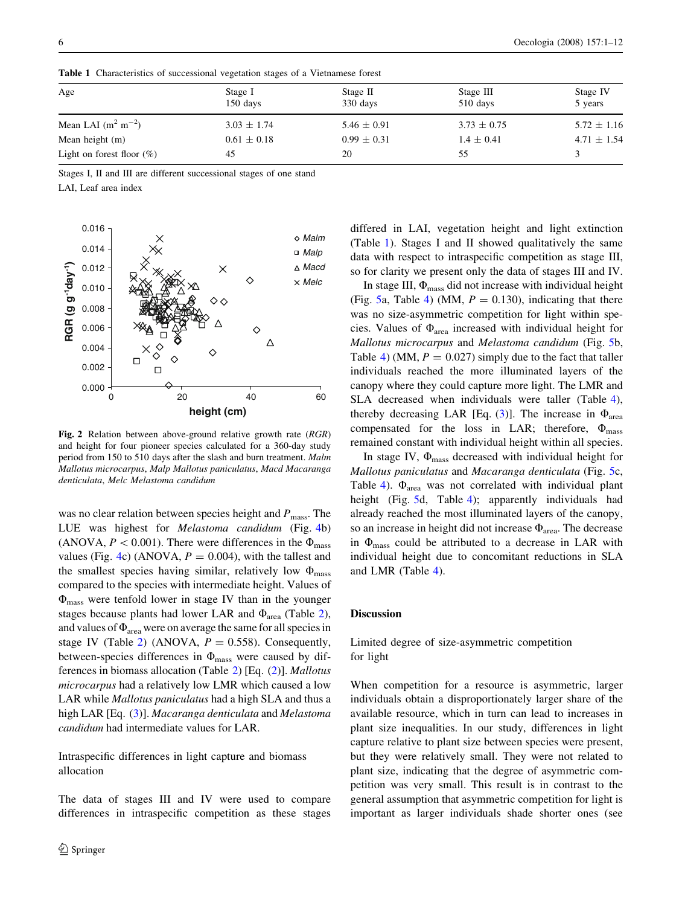| Age                          | Stage I<br>150 days | Stage II<br>330 days | Stage III<br>$510$ days | Stage IV<br>5 years |
|------------------------------|---------------------|----------------------|-------------------------|---------------------|
| Mean LAI $(m^2 m^{-2})$      | $3.03 \pm 1.74$     | $5.46 \pm 0.91$      | $3.73 \pm 0.75$         | $5.72 \pm 1.16$     |
| Mean height $(m)$            | $0.61 \pm 0.18$     | $0.99 \pm 0.31$      | $1.4 \pm 0.41$          | $4.71 \pm 1.54$     |
| Light on forest floor $(\%)$ | 45                  | 20                   | 55                      |                     |

<span id="page-5-0"></span>Table 1 Characteristics of successional vegetation stages of a Vietnamese forest

Stages I, II and III are different successional stages of one stand

LAI, Leaf area index



Fig. 2 Relation between above-ground relative growth rate (RGR) and height for four pioneer species calculated for a 360-day study period from 150 to 510 days after the slash and burn treatment. Malm Mallotus microcarpus, Malp Mallotus paniculatus, Macd Macaranga denticulata, Melc Melastoma candidum

was no clear relation between species height and  $P_{\text{mass}}$ . The LUE was highest for Melastoma candidum (Fig. [4b](#page-8-0)) (ANOVA,  $P < 0.001$ ). There were differences in the  $\Phi_{\text{mass}}$ values (Fig. [4c](#page-8-0)) (ANOVA,  $P = 0.004$ ), with the tallest and the smallest species having similar, relatively low  $\Phi_{\text{mass}}$ compared to the species with intermediate height. Values of  $\Phi_{\text{mass}}$  were tenfold lower in stage IV than in the younger stages because plants had lower LAR and  $\Phi_{area}$  (Table [2](#page-6-0)), and values of  $\Phi_{\text{area}}$  were on average the same for all species in stage IV (Table [2](#page-6-0)) (ANOVA,  $P = 0.558$ ). Consequently, between-species differences in  $\Phi_{\text{mass}}$  were caused by differences in biomass allocation (Table [2](#page-6-0)) [Eq. [\(2](#page-3-0))]. Mallotus microcarpus had a relatively low LMR which caused a low LAR while Mallotus paniculatus had a high SLA and thus a high LAR [Eq. [\(3](#page-3-0))]. *Macaranga denticulata* and *Melastoma* candidum had intermediate values for LAR.

Intraspecific differences in light capture and biomass allocation

The data of stages III and IV were used to compare differences in intraspecific competition as these stages differed in LAI, vegetation height and light extinction (Table 1). Stages I and II showed qualitatively the same data with respect to intraspecific competition as stage III, so for clarity we present only the data of stages III and IV.

In stage III,  $\Phi_{\text{mass}}$  did not increase with individual height (Fig. [5a](#page-9-0), Table [4](#page-9-0)) (MM,  $P = 0.130$ ), indicating that there was no size-asymmetric competition for light within species. Values of  $\Phi_{\text{area}}$  increased with individual height for Mallotus microcarpus and Melastoma candidum (Fig. [5b](#page-9-0), Table [4](#page-9-0)) (MM,  $P = 0.027$ ) simply due to the fact that taller individuals reached the more illuminated layers of the canopy where they could capture more light. The LMR and SLA decreased when individuals were taller (Table [4](#page-9-0)), thereby decreasing LAR [Eq. [\(3](#page-3-0))]. The increase in  $\Phi_{\text{area}}$ compensated for the loss in LAR; therefore,  $\Phi_{\text{mass}}$ remained constant with individual height within all species.

In stage IV,  $\Phi_{\text{mass}}$  decreased with individual height for Mallotus paniculatus and Macaranga denticulata (Fig. [5](#page-9-0)c, Table [4](#page-9-0)).  $\Phi_{\text{area}}$  was not correlated with individual plant height (Fig. [5d](#page-9-0), Table [4](#page-9-0)); apparently individuals had already reached the most illuminated layers of the canopy, so an increase in height did not increase  $\Phi_{\text{area}}$ . The decrease in  $\Phi_{\text{mass}}$  could be attributed to a decrease in LAR with individual height due to concomitant reductions in SLA and LMR (Table [4](#page-9-0)).

## Discussion

# Limited degree of size-asymmetric competition for light

When competition for a resource is asymmetric, larger individuals obtain a disproportionately larger share of the available resource, which in turn can lead to increases in plant size inequalities. In our study, differences in light capture relative to plant size between species were present, but they were relatively small. They were not related to plant size, indicating that the degree of asymmetric competition was very small. This result is in contrast to the general assumption that asymmetric competition for light is important as larger individuals shade shorter ones (see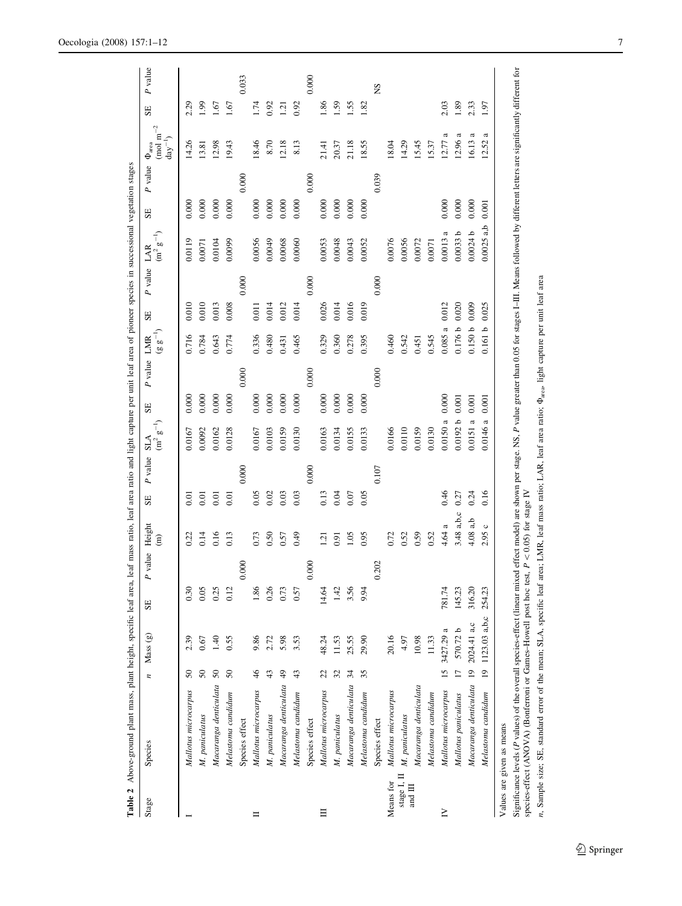<span id="page-6-0"></span>

|             | Table 2 Above-ground plant mass, plant height, specific leaf area, |                 |                  |        |                        |                         |               |                                  |         |             |                    | leaf mass ratio, leaf area ratio and light capture per unit leaf area of pioneer species in successional vegetation stages |                |         |         |                                                                |                  |         |
|-------------|--------------------------------------------------------------------|-----------------|------------------|--------|------------------------|-------------------------|---------------|----------------------------------|---------|-------------|--------------------|----------------------------------------------------------------------------------------------------------------------------|----------------|---------|---------|----------------------------------------------------------------|------------------|---------|
| Stage       | Species                                                            | $\overline{z}$  | Mass (g)         | SE     | $\boldsymbol{P}$ value | Height<br>$\widehat{E}$ | P value<br>SE | $\rm (m^2~g^{-1})$<br><b>SLA</b> | SE      | P value LMR | $(g g^{-1})$       | P value LAR<br>SE                                                                                                          | $(m^2 g^{-1})$ | SE      | P value | $\rm (mol~m^{-2}$<br>$\mathrm{day}^{-1})$<br>$\Phi_{\rm area}$ | SE               | P value |
|             | Mallotus microcarpus                                               | 50              | 2.39             | 0.30   |                        | 0.22                    | 0.01          | 0.0167                           | 0.000   |             | 0.716              | 0.010                                                                                                                      | 0.0119         | 0.000   |         | 14.26                                                          | 2.29             |         |
|             | M. paniculatus                                                     | $50\,$          | 0.67             | 0.05   |                        | 0.14                    | 0.01          | 0.0092                           | 0.000   |             | 0.784              | 0.010                                                                                                                      | 0.0071         | 0.000   |         | 13.81                                                          | 1.99             |         |
|             | Macaranga denticulata                                              | $50\,$          | $\overline{40}$  | 0.25   |                        | 0.16                    | 0.01          | 0.0162                           | $0.000$ |             | 0.643              | 0.013                                                                                                                      | 0.0104         | 0.000   |         | 12.98                                                          | 1.67             |         |
|             | Melastoma candidum                                                 | 50              | 0.55             | 0.12   |                        | 0.13                    | 0.01          | 0.0128                           | 0.000   |             | 0.774              | 0.008                                                                                                                      | 0.0099         | 0.000   |         | 19.43                                                          | 1.67             |         |
|             | Species effect                                                     |                 |                  |        | 0.000                  |                         | 0.000         |                                  |         | 0.000       |                    | 0.000                                                                                                                      |                |         | 0.000   |                                                                |                  | 0.033   |
| Ħ           | Mallotus microcarpus                                               | $\frac{4}{6}$   | 9.86             | 1.86   |                        | 0.73                    | 0.05          | 0.0167                           | 0.000   |             | 0.336              | 0.011                                                                                                                      | 0.0056         | 0.000   |         | 8.46                                                           | 1.74             |         |
|             | M. paniculatus                                                     | 43              | 2.72             | 0.26   |                        | 0.50                    | 0.02          | 0.0103                           | 0.000   |             | 0.480              | 0.014                                                                                                                      | 0.0049         | $0.000$ |         | 8.70                                                           | 0.92             |         |
|             | Macaranga denticulata 49                                           |                 | 5.98             | 0.73   |                        | 0.57                    | 0.03          | 0.0159                           | 0.000   |             | 0.431              | 0.012                                                                                                                      | 0.0068         | 0.000   |         | 12.18                                                          | $\overline{121}$ |         |
|             | Melastoma candidum                                                 | 43              | 3.53             | 0.57   |                        | 0.49                    | 0.03          | 0.0130                           | 0.000   |             | 0.465              | 0.014                                                                                                                      | 0.0060         | 0.000   |         | 8.13                                                           | 0.92             |         |
|             | Species effect                                                     |                 |                  |        | 0.000                  |                         | 0.000         |                                  |         | 0.000       |                    | 0.000                                                                                                                      |                |         | 0.000   |                                                                |                  | 0.000   |
| $\equiv$    | Mallotus microcarpus                                               | 22              | 48.24            | 14.64  |                        | $\overline{5}$          | 0.13          | 0.0163                           | 0.000   |             | 0.329              | 0.026                                                                                                                      | 0.0053         | 0.000   |         | 21.41                                                          | 1.86             |         |
|             | M. paniculatus                                                     | 32              | 11.53            | 1.42   |                        | 0.91                    | 0.04          | 0.0134                           | 0.000   |             | 0.360              | 0.014                                                                                                                      | 0.0048         | $0.000$ |         | 20.37                                                          | 1.59             |         |
|             | Macaranga denticulata                                              | 34              | 25.55            | 3.56   |                        | 1.05                    | 0.07          | 0.0155                           | $0.000$ |             | 0.278              | 0.016                                                                                                                      | 0.0043         | 0.000   |         | 21.18                                                          | 1.55             |         |
|             | Melastoma candidum                                                 | 35              | 29.90            | 9.94   |                        | 0.95                    | 0.05          | 0.0133                           | 0.000   |             | 0.395              | 0.019                                                                                                                      | 0.0052         | 0.000   |         | 18.55                                                          | 1.82             |         |
|             | Species effect                                                     |                 |                  |        | 0.202                  |                         | 0.107         |                                  |         | 0.000       |                    | 0.000                                                                                                                      |                |         | 0.039   |                                                                |                  | SN      |
| Means for   | Mallotus microcarpus                                               |                 | 20.16            |        |                        | 0.72                    |               | 0.0166                           |         |             | 0.460              |                                                                                                                            | 0.0076         |         |         | 18.04                                                          |                  |         |
| stage I, II | M. paniculatus                                                     |                 | 4.97             |        |                        | 0.52                    |               | 0.0110                           |         |             | 0.542              |                                                                                                                            | 0.0056         |         |         | 14.29                                                          |                  |         |
| and III     | Macaranga denticulata                                              |                 | 10.98            |        |                        | 0.59                    |               | 0.0159                           |         |             | 0.451              |                                                                                                                            | 0.0072         |         |         | 15.45                                                          |                  |         |
|             | Melastoma candidum                                                 |                 | 11.33            |        |                        | 0.52                    |               | 0.0130                           |         |             | 0.545              |                                                                                                                            | 0.0071         |         |         | 15.37                                                          |                  |         |
| $\square$   | Mallotus microcarpus                                               | $\overline{15}$ | 3427.29 a        | 781.74 |                        | 4.64 a                  | 0.46          | 0.0150a                          | 0.000   |             | $\approx$<br>0.085 | 0.012                                                                                                                      | a<br>0.0013    | 0.000   |         | ದ<br>12.77                                                     | 2.03             |         |
|             | Mallotus paniculatus                                               | $\overline{17}$ | 570.72 b         | 145.23 |                        | 3.48 a,b,c              | 0.27          | 0.0192 b                         | 0.001   |             | 0.176 b            | 0.020                                                                                                                      | م<br>0.0033    | 0.000   |         | $\boldsymbol{\mathfrak{a}}$<br>12.96                           | 1.89             |         |
|             | Macaranga denticulata 19                                           |                 | 2024.41 a,c      | 316.20 |                        | 4.08a,b                 | 0.24          | $\approx$<br>0.0151              | 0.001   |             | 0.150 b            | 0.009                                                                                                                      | م<br>0.0024    | 0.000   |         | ದ<br>16.13                                                     | 2.33             |         |
|             | Melastoma candidum                                                 |                 | 19 1123.03 a,b,c | 254.23 |                        | 2.95c                   | 0.16          | 0.0146a                          | 0.001   |             | 0.161b             | 0.025                                                                                                                      | $0.0025$ a,b   | 0.001   |         | ದ<br>12.52                                                     | 1.97             |         |
|             | Values are given as means                                          |                 |                  |        |                        |                         |               |                                  |         |             |                    |                                                                                                                            |                |         |         |                                                                |                  |         |

Significance levels (P values) of the overall species-effect (linear mixed effect model) are shown per stage. NS, P value greater than 0.05 for stages I-III. Means followed by different letters are significantly different Significance levels (P values) of the overall species-effect (linear mixed effect mode)) are shown per stage. NS, P value greater than 0.05 for stages I-III. Means followed by different letters are significantly different species-effect (ANOVA) (Bonferroni or Games–Howell post hoc test,  $P \le 0.05$ ) for stage IV

n, Sample size; SE, standard error of the mean; SLA, specific leaf area; LMR, leaf mass ratio; LAR, leaf area ratio;  $\Phi_{\text{area}}$  light capture per unit leaf area n, Sample size; SE, standard error of the mean; SLA, specific leaf area; LMR, leaf mass ratio; LAR, leaf area ratio; Uarea, light capture per unit leaf area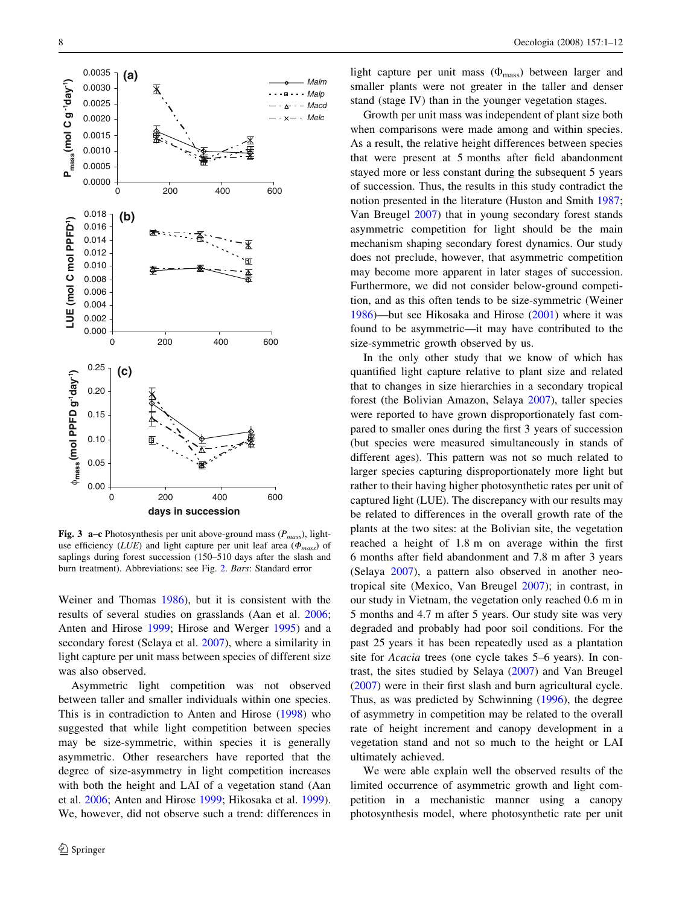<span id="page-7-0"></span>

**Fig. 3 a–c** Photosynthesis per unit above-ground mass  $(P_{mass})$ , lightuse efficiency (*LUE*) and light capture per unit leaf area ( $\Phi_{mass}$ ) of saplings during forest succession (150–510 days after the slash and burn treatment). Abbreviations: see Fig. [2.](#page-5-0) Bars: Standard error

Weiner and Thomas [1986\)](#page-11-0), but it is consistent with the results of several studies on grasslands (Aan et al. [2006](#page-10-0); Anten and Hirose [1999;](#page-10-0) Hirose and Werger [1995\)](#page-10-0) and a secondary forest (Selaya et al. [2007](#page-10-0)), where a similarity in light capture per unit mass between species of different size was also observed.

Asymmetric light competition was not observed between taller and smaller individuals within one species. This is in contradiction to Anten and Hirose ([1998\)](#page-10-0) who suggested that while light competition between species may be size-symmetric, within species it is generally asymmetric. Other researchers have reported that the degree of size-asymmetry in light competition increases with both the height and LAI of a vegetation stand (Aan et al. [2006;](#page-10-0) Anten and Hirose [1999;](#page-10-0) Hikosaka et al. [1999](#page-10-0)). We, however, did not observe such a trend: differences in

light capture per unit mass  $(\Phi_{\text{mass}})$  between larger and smaller plants were not greater in the taller and denser stand (stage IV) than in the younger vegetation stages.

Growth per unit mass was independent of plant size both when comparisons were made among and within species. As a result, the relative height differences between species that were present at 5 months after field abandonment stayed more or less constant during the subsequent 5 years of succession. Thus, the results in this study contradict the notion presented in the literature (Huston and Smith [1987](#page-10-0); Van Breugel [2007](#page-11-0)) that in young secondary forest stands asymmetric competition for light should be the main mechanism shaping secondary forest dynamics. Our study does not preclude, however, that asymmetric competition may become more apparent in later stages of succession. Furthermore, we did not consider below-ground competition, and as this often tends to be size-symmetric (Weiner [1986](#page-11-0))—but see Hikosaka and Hirose ([2001\)](#page-10-0) where it was found to be asymmetric—it may have contributed to the size-symmetric growth observed by us.

In the only other study that we know of which has quantified light capture relative to plant size and related that to changes in size hierarchies in a secondary tropical forest (the Bolivian Amazon, Selaya [2007](#page-10-0)), taller species were reported to have grown disproportionately fast compared to smaller ones during the first 3 years of succession (but species were measured simultaneously in stands of different ages). This pattern was not so much related to larger species capturing disproportionately more light but rather to their having higher photosynthetic rates per unit of captured light (LUE). The discrepancy with our results may be related to differences in the overall growth rate of the plants at the two sites: at the Bolivian site, the vegetation reached a height of 1.8 m on average within the first 6 months after field abandonment and 7.8 m after 3 years (Selaya [2007](#page-10-0)), a pattern also observed in another neotropical site (Mexico, Van Breugel [2007\)](#page-11-0); in contrast, in our study in Vietnam, the vegetation only reached 0.6 m in 5 months and 4.7 m after 5 years. Our study site was very degraded and probably had poor soil conditions. For the past 25 years it has been repeatedly used as a plantation site for Acacia trees (one cycle takes 5–6 years). In contrast, the sites studied by Selaya [\(2007](#page-10-0)) and Van Breugel [\(2007](#page-11-0)) were in their first slash and burn agricultural cycle. Thus, as was predicted by Schwinning [\(1996](#page-10-0)), the degree of asymmetry in competition may be related to the overall rate of height increment and canopy development in a vegetation stand and not so much to the height or LAI ultimately achieved.

We were able explain well the observed results of the limited occurrence of asymmetric growth and light competition in a mechanistic manner using a canopy photosynthesis model, where photosynthetic rate per unit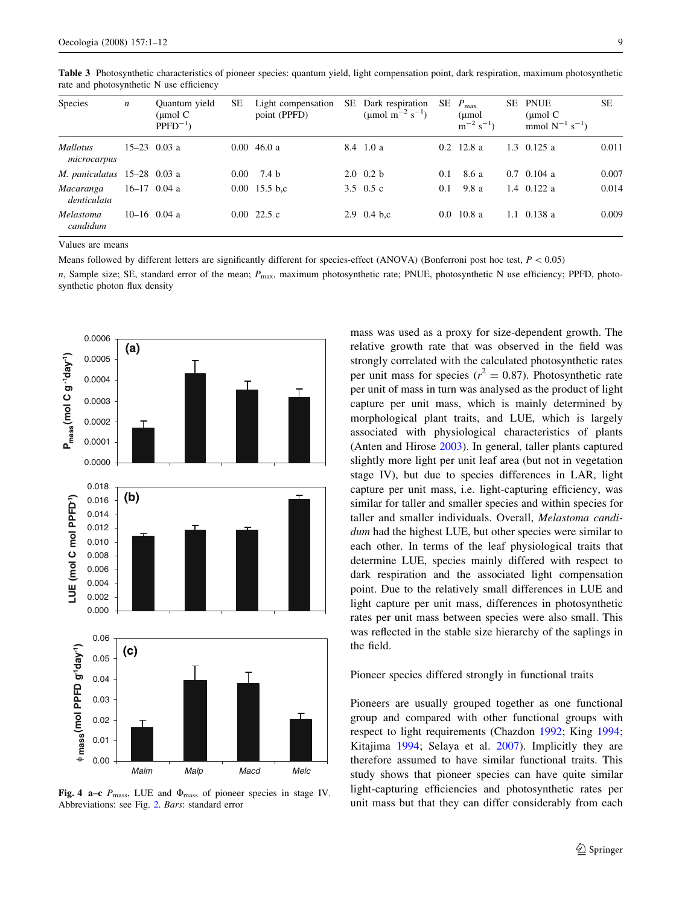| Species                        | $\boldsymbol{n}$ | Quantum yield<br>$\mu$ mol C<br>$PPFD^{-1}$ | SЕ       | Light compensation<br>point (PPFD) | SE. | Dark respiration<br>(µmol m <sup>-2</sup> s <sup>-1</sup> ) | SE. | $P_{\text{max}}$<br>(µmol<br>$\rm m^{-2}$ s <sup>-1</sup> ) | SЕ | <b>PNUE</b><br>$\mu$ mol C<br>mmol $N^{-1}$ s <sup>-1</sup> ) | <b>SE</b> |
|--------------------------------|------------------|---------------------------------------------|----------|------------------------------------|-----|-------------------------------------------------------------|-----|-------------------------------------------------------------|----|---------------------------------------------------------------|-----------|
| <i>Mallotus</i><br>microcarpus |                  | $15-23$ 0.03 a                              |          | $0.00 \; 46.0 \; a$                |     | 8.4 1.0 a                                                   |     | $0.2 \quad 12.8 \text{ a}$                                  |    | $1.3 \quad 0.125 \text{ a}$                                   | 0.011     |
| M. paniculatus $15-28$ 0.03 a  |                  |                                             | $0.00\,$ | 7.4 b                              |     | $2.0 \t 0.2 b$                                              | 0.1 | 8.6 a                                                       |    | $0.7 \quad 0.104 \text{ a}$                                   | 0.007     |
| Macaranga<br>denticulata       |                  | $16-17$ 0.04 a                              |          | $0.00\;15.5\;b.c$                  |     | 3.5 $0.5c$                                                  | 0.1 | 9.8 a                                                       |    | 1.4 $0.122$ a                                                 | 0.014     |
| Melastoma<br>candidum          |                  | $10-16$ 0.04 a                              |          | $0.00\ 22.5\ c$                    |     | 2.9 0.4 b,c                                                 |     | $0.0 \t10.8 a$                                              |    | 1.1 $0.138a$                                                  | 0.009     |

<span id="page-8-0"></span>Table 3 Photosynthetic characteristics of pioneer species: quantum yield, light compensation point, dark respiration, maximum photosynthetic rate and photosynthetic N use efficiency

Values are means

Means followed by different letters are significantly different for species-effect (ANOVA) (Bonferroni post hoc test,  $P < 0.05$ )

n, Sample size; SE, standard error of the mean;  $P_{\text{max}}$ , maximum photosynthetic rate; PNUE, photosynthetic N use efficiency; PPFD, photosynthetic photon flux density



Fig. 4 a–c  $P_{\text{mass}}$ , LUE and  $\Phi_{\text{mass}}$  of pioneer species in stage IV. Abbreviations: see Fig. [2](#page-5-0). Bars: standard error

mass was used as a proxy for size-dependent growth. The relative growth rate that was observed in the field was strongly correlated with the calculated photosynthetic rates per unit mass for species ( $r^2 = 0.87$ ). Photosynthetic rate per unit of mass in turn was analysed as the product of light capture per unit mass, which is mainly determined by morphological plant traits, and LUE, which is largely associated with physiological characteristics of plants (Anten and Hirose [2003\)](#page-10-0). In general, taller plants captured slightly more light per unit leaf area (but not in vegetation stage IV), but due to species differences in LAR, light capture per unit mass, i.e. light-capturing efficiency, was similar for taller and smaller species and within species for taller and smaller individuals. Overall, Melastoma candidum had the highest LUE, but other species were similar to each other. In terms of the leaf physiological traits that determine LUE, species mainly differed with respect to dark respiration and the associated light compensation point. Due to the relatively small differences in LUE and light capture per unit mass, differences in photosynthetic rates per unit mass between species were also small. This was reflected in the stable size hierarchy of the saplings in the field.

## Pioneer species differed strongly in functional traits

Pioneers are usually grouped together as one functional group and compared with other functional groups with respect to light requirements (Chazdon [1992](#page-10-0); King [1994](#page-10-0); Kitajima [1994](#page-10-0); Selaya et al. [2007\)](#page-10-0). Implicitly they are therefore assumed to have similar functional traits. This study shows that pioneer species can have quite similar light-capturing efficiencies and photosynthetic rates per unit mass but that they can differ considerably from each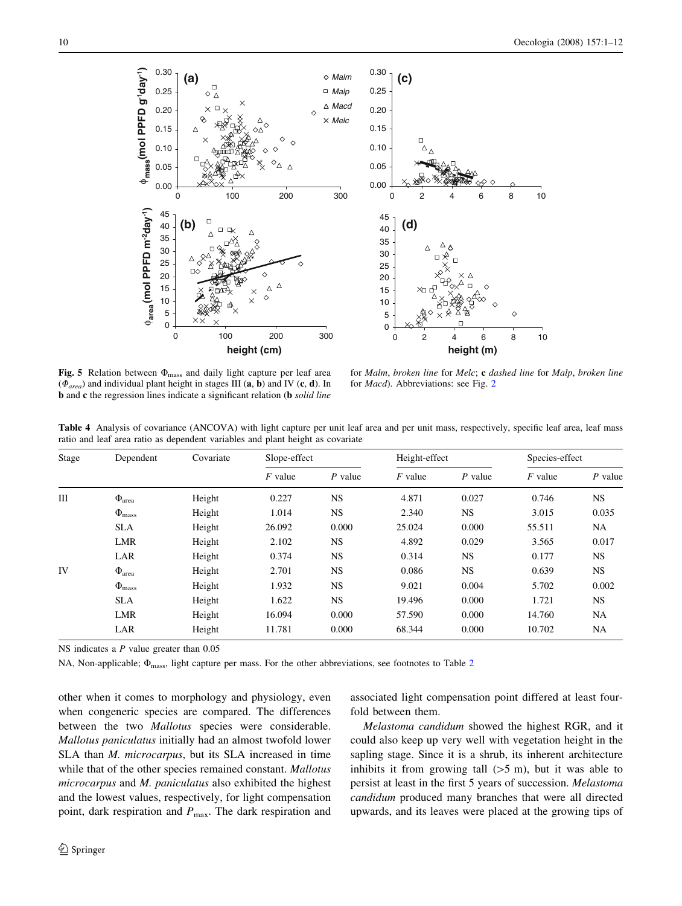<span id="page-9-0"></span>

Fig. 5 Relation between  $\Phi_{\text{mass}}$  and daily light capture per leaf area  $(\Phi_{area})$  and individual plant height in stages III (a, b) and IV (c, d). In **b** and **c** the regression lines indicate a significant relation (**b** *solid line* 

for Malm, broken line for Melc; c dashed line for Malp, broken line for Macd). Abbreviations: see Fig. [2](#page-5-0)

Table 4 Analysis of covariance (ANCOVA) with light capture per unit leaf area and per unit mass, respectively, specific leaf area, leaf mass ratio and leaf area ratio as dependent variables and plant height as covariate

| Stage | Dependent            | Covariate | Slope-effect |           | Height-effect |           | Species-effect |           |
|-------|----------------------|-----------|--------------|-----------|---------------|-----------|----------------|-----------|
|       |                      |           | $F$ value    | $P$ value | $F$ value     | $P$ value | $F$ value      | $P$ value |
| Ш     | $\Phi_{\text{area}}$ | Height    | 0.227        | <b>NS</b> | 4.871         | 0.027     | 0.746          | <b>NS</b> |
|       | $\Phi_{\text{mass}}$ | Height    | 1.014        | <b>NS</b> | 2.340         | NS.       | 3.015          | 0.035     |
|       | <b>SLA</b>           | Height    | 26.092       | 0.000     | 25.024        | 0.000     | 55.511         | NA        |
|       | <b>LMR</b>           | Height    | 2.102        | NS        | 4.892         | 0.029     | 3.565          | 0.017     |
|       | LAR                  | Height    | 0.374        | <b>NS</b> | 0.314         | <b>NS</b> | 0.177          | <b>NS</b> |
| IV    | $\Phi_{\text{area}}$ | Height    | 2.701        | <b>NS</b> | 0.086         | <b>NS</b> | 0.639          | <b>NS</b> |
|       | $\Phi_{\rm mass}$    | Height    | 1.932        | <b>NS</b> | 9.021         | 0.004     | 5.702          | 0.002     |
|       | <b>SLA</b>           | Height    | 1.622        | <b>NS</b> | 19.496        | 0.000     | 1.721          | <b>NS</b> |
|       | <b>LMR</b>           | Height    | 16.094       | 0.000     | 57.590        | 0.000     | 14.760         | <b>NA</b> |
|       | LAR                  | Height    | 11.781       | 0.000     | 68.344        | 0.000     | 10.702         | NA        |

NS indicates a P value greater than 0.05

NA, Non-applicable;  $\Phi_{\text{mass}}$ , light capture per mass. For the other abbreviations, see footnotes to Table [2](#page-6-0)

other when it comes to morphology and physiology, even when congeneric species are compared. The differences between the two *Mallotus* species were considerable. Mallotus paniculatus initially had an almost twofold lower SLA than *M. microcarpus*, but its SLA increased in time while that of the other species remained constant. Mallotus microcarpus and M. paniculatus also exhibited the highest and the lowest values, respectively, for light compensation point, dark respiration and  $P_{\text{max}}$ . The dark respiration and associated light compensation point differed at least fourfold between them.

Melastoma candidum showed the highest RGR, and it could also keep up very well with vegetation height in the sapling stage. Since it is a shrub, its inherent architecture inhibits it from growing tall  $(55 \text{ m})$ , but it was able to persist at least in the first 5 years of succession. Melastoma candidum produced many branches that were all directed upwards, and its leaves were placed at the growing tips of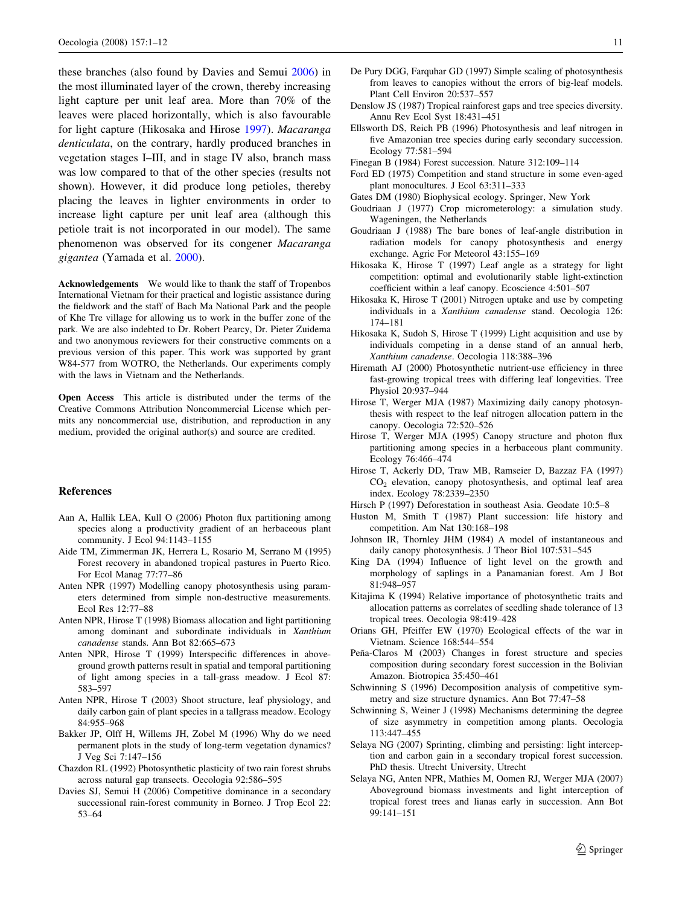<span id="page-10-0"></span>these branches (also found by Davies and Semui 2006) in the most illuminated layer of the crown, thereby increasing light capture per unit leaf area. More than 70% of the leaves were placed horizontally, which is also favourable for light capture (Hikosaka and Hirose 1997). Macaranga denticulata, on the contrary, hardly produced branches in vegetation stages I–III, and in stage IV also, branch mass was low compared to that of the other species (results not shown). However, it did produce long petioles, thereby placing the leaves in lighter environments in order to increase light capture per unit leaf area (although this petiole trait is not incorporated in our model). The same phenomenon was observed for its congener Macaranga gigantea (Yamada et al. [2000](#page-11-0)).

Acknowledgements We would like to thank the staff of Tropenbos International Vietnam for their practical and logistic assistance during the fieldwork and the staff of Bach Ma National Park and the people of Khe Tre village for allowing us to work in the buffer zone of the park. We are also indebted to Dr. Robert Pearcy, Dr. Pieter Zuidema and two anonymous reviewers for their constructive comments on a previous version of this paper. This work was supported by grant W84-577 from WOTRO, the Netherlands. Our experiments comply with the laws in Vietnam and the Netherlands.

Open Access This article is distributed under the terms of the Creative Commons Attribution Noncommercial License which permits any noncommercial use, distribution, and reproduction in any medium, provided the original author(s) and source are credited.

#### **References**

- Aan A, Hallik LEA, Kull O (2006) Photon flux partitioning among species along a productivity gradient of an herbaceous plant community. J Ecol 94:1143–1155
- Aide TM, Zimmerman JK, Herrera L, Rosario M, Serrano M (1995) Forest recovery in abandoned tropical pastures in Puerto Rico. For Ecol Manag 77:77–86
- Anten NPR (1997) Modelling canopy photosynthesis using parameters determined from simple non-destructive measurements. Ecol Res 12:77–88
- Anten NPR, Hirose T (1998) Biomass allocation and light partitioning among dominant and subordinate individuals in Xanthium canadense stands. Ann Bot 82:665–673
- Anten NPR, Hirose T (1999) Interspecific differences in aboveground growth patterns result in spatial and temporal partitioning of light among species in a tall-grass meadow. J Ecol 87: 583–597
- Anten NPR, Hirose T (2003) Shoot structure, leaf physiology, and daily carbon gain of plant species in a tallgrass meadow. Ecology 84:955–968
- Bakker JP, Olff H, Willems JH, Zobel M (1996) Why do we need permanent plots in the study of long-term vegetation dynamics? J Veg Sci 7:147–156
- Chazdon RL (1992) Photosynthetic plasticity of two rain forest shrubs across natural gap transects. Oecologia 92:586–595
- Davies SJ, Semui H (2006) Competitive dominance in a secondary successional rain-forest community in Borneo. J Trop Ecol 22: 53–64
- De Pury DGG, Farquhar GD (1997) Simple scaling of photosynthesis from leaves to canopies without the errors of big-leaf models. Plant Cell Environ 20:537–557
- Denslow JS (1987) Tropical rainforest gaps and tree species diversity. Annu Rev Ecol Syst 18:431–451
- Ellsworth DS, Reich PB (1996) Photosynthesis and leaf nitrogen in five Amazonian tree species during early secondary succession. Ecology 77:581–594
- Finegan B (1984) Forest succession. Nature 312:109–114
- Ford ED (1975) Competition and stand structure in some even-aged plant monocultures. J Ecol 63:311–333
- Gates DM (1980) Biophysical ecology. Springer, New York
- Goudriaan J (1977) Crop micrometerology: a simulation study. Wageningen, the Netherlands
- Goudriaan J (1988) The bare bones of leaf-angle distribution in radiation models for canopy photosynthesis and energy exchange. Agric For Meteorol 43:155–169
- Hikosaka K, Hirose T (1997) Leaf angle as a strategy for light competition: optimal and evolutionarily stable light-extinction coefficient within a leaf canopy. Ecoscience 4:501–507
- Hikosaka K, Hirose T (2001) Nitrogen uptake and use by competing individuals in a Xanthium canadense stand. Oecologia 126: 174–181
- Hikosaka K, Sudoh S, Hirose T (1999) Light acquisition and use by individuals competing in a dense stand of an annual herb, Xanthium canadense. Oecologia 118:388–396
- Hiremath AJ (2000) Photosynthetic nutrient-use efficiency in three fast-growing tropical trees with differing leaf longevities. Tree Physiol 20:937–944
- Hirose T, Werger MJA (1987) Maximizing daily canopy photosynthesis with respect to the leaf nitrogen allocation pattern in the canopy. Oecologia 72:520–526
- Hirose T, Werger MJA (1995) Canopy structure and photon flux partitioning among species in a herbaceous plant community. Ecology 76:466–474
- Hirose T, Ackerly DD, Traw MB, Ramseier D, Bazzaz FA (1997)  $CO<sub>2</sub>$  elevation, canopy photosynthesis, and optimal leaf area index. Ecology 78:2339–2350
- Hirsch P (1997) Deforestation in southeast Asia. Geodate 10:5–8
- Huston M, Smith T (1987) Plant succession: life history and competition. Am Nat 130:168–198
- Johnson IR, Thornley JHM (1984) A model of instantaneous and daily canopy photosynthesis. J Theor Biol 107:531–545
- King DA (1994) Influence of light level on the growth and morphology of saplings in a Panamanian forest. Am J Bot 81:948–957
- Kitajima K (1994) Relative importance of photosynthetic traits and allocation patterns as correlates of seedling shade tolerance of 13 tropical trees. Oecologia 98:419–428
- Orians GH, Pfeiffer EW (1970) Ecological effects of the war in Vietnam. Science 168:544–554
- Peña-Claros M (2003) Changes in forest structure and species composition during secondary forest succession in the Bolivian Amazon. Biotropica 35:450–461
- Schwinning S (1996) Decomposition analysis of competitive symmetry and size structure dynamics. Ann Bot 77:47–58
- Schwinning S, Weiner J (1998) Mechanisms determining the degree of size asymmetry in competition among plants. Oecologia 113:447–455
- Selaya NG (2007) Sprinting, climbing and persisting: light interception and carbon gain in a secondary tropical forest succession. PhD thesis. Utrecht University, Utrecht
- Selaya NG, Anten NPR, Mathies M, Oomen RJ, Werger MJA (2007) Aboveground biomass investments and light interception of tropical forest trees and lianas early in succession. Ann Bot 99:141–151